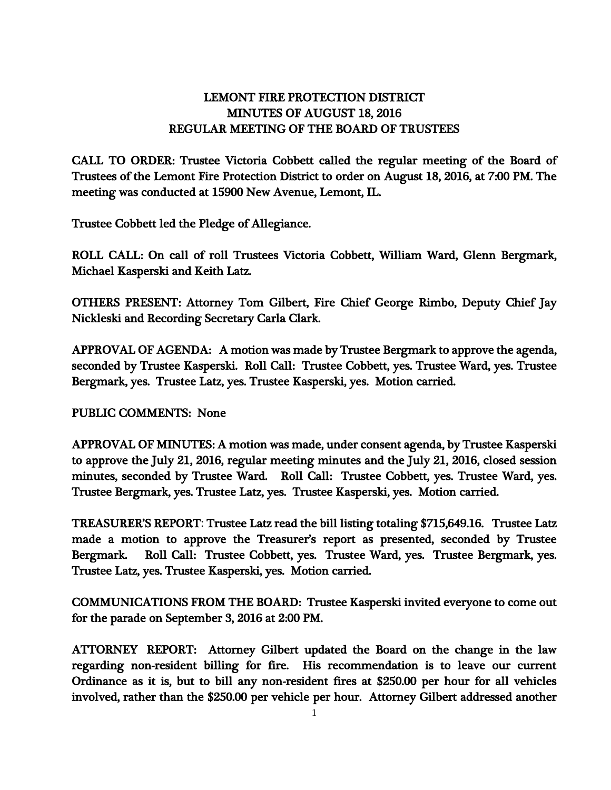## LEMONT FIRE PROTECTION DISTRICT MINUTES OF AUGUST 18, 2016 REGULAR MEETING OF THE BOARD OF TRUSTEES

CALL TO ORDER: Trustee Victoria Cobbett called the regular meeting of the Board of Trustees of the Lemont Fire Protection District to order on August 18, 2016, at 7:00 PM. The meeting was conducted at 15900 New Avenue, Lemont, IL.

Trustee Cobbett led the Pledge of Allegiance.

ROLL CALL: On call of roll Trustees Victoria Cobbett, William Ward, Glenn Bergmark, Michael Kasperski and Keith Latz.

OTHERS PRESENT: Attorney Tom Gilbert, Fire Chief George Rimbo, Deputy Chief Jay Nickleski and Recording Secretary Carla Clark.

APPROVAL OF AGENDA: A motion was made by Trustee Bergmark to approve the agenda, seconded by Trustee Kasperski. Roll Call: Trustee Cobbett, yes. Trustee Ward, yes. Trustee Bergmark, yes. Trustee Latz, yes. Trustee Kasperski, yes. Motion carried.

PUBLIC COMMENTS: None

APPROVAL OF MINUTES: A motion was made, under consent agenda, by Trustee Kasperski to approve the July 21, 2016, regular meeting minutes and the July 21, 2016, closed session minutes, seconded by Trustee Ward. Roll Call: Trustee Cobbett, yes. Trustee Ward, yes. Trustee Bergmark, yes. Trustee Latz, yes. Trustee Kasperski, yes. Motion carried.

TREASURER'S REPORT: Trustee Latz read the bill listing totaling \$715,649.16. Trustee Latz made a motion to approve the Treasurer's report as presented, seconded by Trustee Bergmark. Roll Call: Trustee Cobbett, yes. Trustee Ward, yes. Trustee Bergmark, yes. Trustee Latz, yes. Trustee Kasperski, yes. Motion carried.

COMMUNICATIONS FROM THE BOARD: Trustee Kasperski invited everyone to come out for the parade on September 3, 2016 at 2:00 PM.

ATTORNEY REPORT: Attorney Gilbert updated the Board on the change in the law regarding non-resident billing for fire. His recommendation is to leave our current Ordinance as it is, but to bill any non-resident fires at \$250.00 per hour for all vehicles involved, rather than the \$250.00 per vehicle per hour. Attorney Gilbert addressed another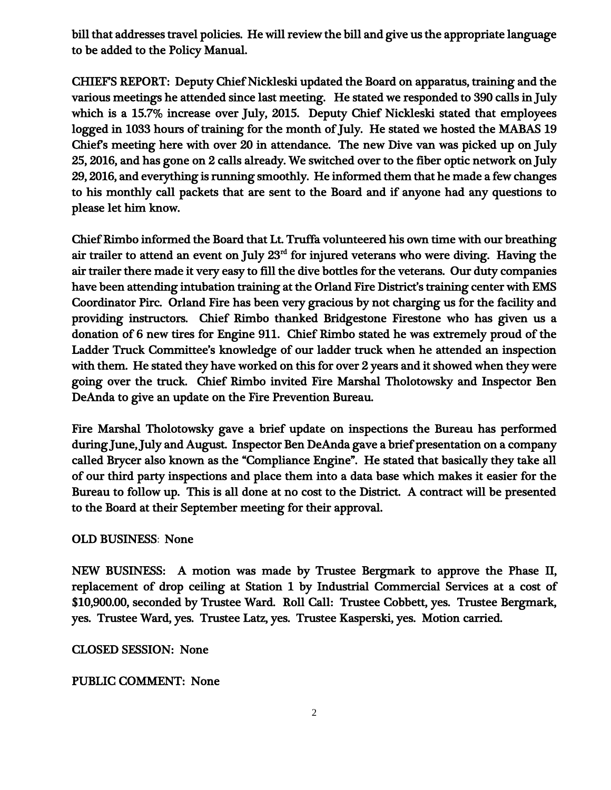bill that addresses travel policies. He will review the bill and give us the appropriate language to be added to the Policy Manual.

CHIEF'S REPORT: Deputy Chief Nickleski updated the Board on apparatus, training and the various meetings he attended since last meeting. He stated we responded to 390 calls in July which is a 15.7% increase over July, 2015. Deputy Chief Nickleski stated that employees logged in 1033 hours of training for the month of July. He stated we hosted the MABAS 19 Chief's meeting here with over 20 in attendance. The new Dive van was picked up on July 25, 2016, and has gone on 2 calls already. We switched over to the fiber optic network on July 29, 2016, and everything is running smoothly. He informed them that he made a few changes to his monthly call packets that are sent to the Board and if anyone had any questions to please let him know.

Chief Rimbo informed the Board that Lt. Truffa volunteered his own time with our breathing air trailer to attend an event on July  $23<sup>rd</sup>$  for injured veterans who were diving. Having the air trailer there made it very easy to fill the dive bottles for the veterans. Our duty companies have been attending intubation training at the Orland Fire District's training center with EMS Coordinator Pirc. Orland Fire has been very gracious by not charging us for the facility and providing instructors. Chief Rimbo thanked Bridgestone Firestone who has given us a donation of 6 new tires for Engine 911. Chief Rimbo stated he was extremely proud of the Ladder Truck Committee's knowledge of our ladder truck when he attended an inspection with them. He stated they have worked on this for over 2 years and it showed when they were going over the truck. Chief Rimbo invited Fire Marshal Tholotowsky and Inspector Ben DeAnda to give an update on the Fire Prevention Bureau.

Fire Marshal Tholotowsky gave a brief update on inspections the Bureau has performed during June, July and August. Inspector Ben DeAnda gave a brief presentation on a company called Brycer also known as the "Compliance Engine". He stated that basically they take all of our third party inspections and place them into a data base which makes it easier for the Bureau to follow up. This is all done at no cost to the District. A contract will be presented to the Board at their September meeting for their approval.

## OLD BUSINESS: None

NEW BUSINESS: A motion was made by Trustee Bergmark to approve the Phase II, replacement of drop ceiling at Station 1 by Industrial Commercial Services at a cost of \$10,900.00, seconded by Trustee Ward. Roll Call: Trustee Cobbett, yes. Trustee Bergmark, yes. Trustee Ward, yes. Trustee Latz, yes. Trustee Kasperski, yes. Motion carried.

CLOSED SESSION: None

## PUBLIC COMMENT: None